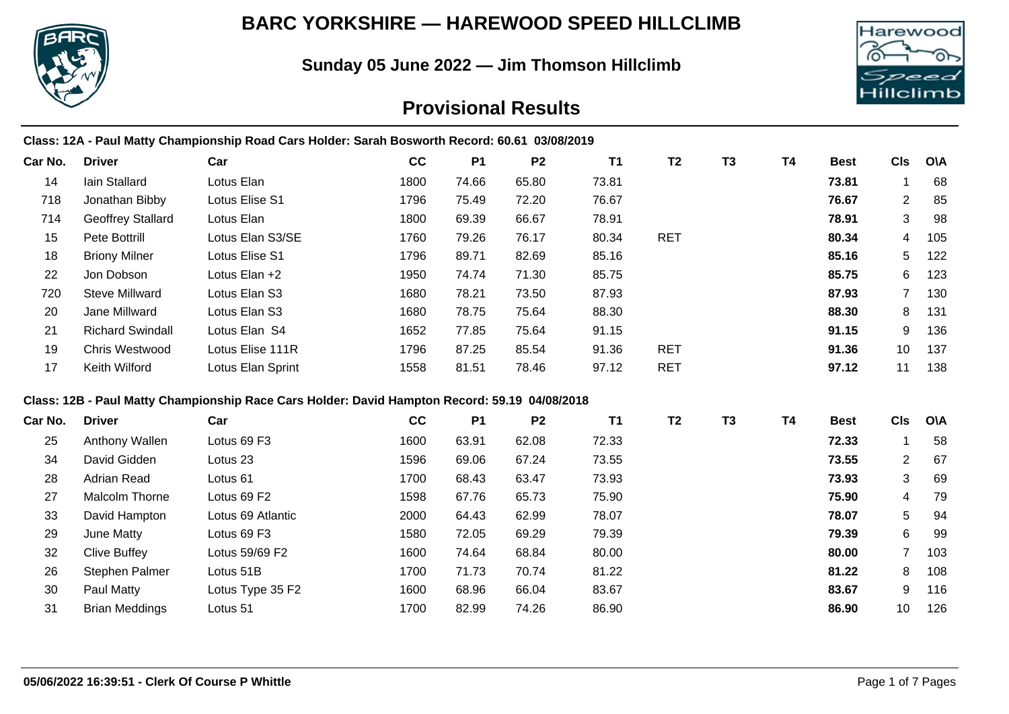

## **BARC YORKSHIRE — HAREWOOD SPEED HILLCLIMB**

**Sunday 05 June 2022 — Jim Thomson Hillclimb**



# **Provisional Results**

|         |                          | Class: 12A - Paul Matty Championship Road Cars Holder: Sarah Bosworth Record: 60.61 03/08/2019 |      |           |                |           |                |                |           |             |                 |            |
|---------|--------------------------|------------------------------------------------------------------------------------------------|------|-----------|----------------|-----------|----------------|----------------|-----------|-------------|-----------------|------------|
| Car No. | <b>Driver</b>            | Car                                                                                            | cc   | <b>P1</b> | P <sub>2</sub> | <b>T1</b> | T <sub>2</sub> | T <sub>3</sub> | <b>T4</b> | <b>Best</b> | <b>CIs</b>      | <b>O\A</b> |
| 14      | Iain Stallard            | Lotus Elan                                                                                     | 1800 | 74.66     | 65.80          | 73.81     |                |                |           | 73.81       | 1               | 68         |
| 718     | Jonathan Bibby           | Lotus Elise S1                                                                                 | 1796 | 75.49     | 72.20          | 76.67     |                |                |           | 76.67       | $\overline{2}$  | 85         |
| 714     | <b>Geoffrey Stallard</b> | Lotus Elan                                                                                     | 1800 | 69.39     | 66.67          | 78.91     |                |                |           | 78.91       | 3               | 98         |
| 15      | Pete Bottrill            | Lotus Elan S3/SE                                                                               | 1760 | 79.26     | 76.17          | 80.34     | <b>RET</b>     |                |           | 80.34       | 4               | 105        |
| 18      | <b>Briony Milner</b>     | Lotus Elise S1                                                                                 | 1796 | 89.71     | 82.69          | 85.16     |                |                |           | 85.16       | 5               | 122        |
| 22      | Jon Dobson               | Lotus Elan +2                                                                                  | 1950 | 74.74     | 71.30          | 85.75     |                |                |           | 85.75       | 6               | 123        |
| 720     | <b>Steve Millward</b>    | Lotus Elan S3                                                                                  | 1680 | 78.21     | 73.50          | 87.93     |                |                |           | 87.93       | $\overline{7}$  | 130        |
| 20      | Jane Millward            | Lotus Elan S3                                                                                  | 1680 | 78.75     | 75.64          | 88.30     |                |                |           | 88.30       | 8               | 131        |
| 21      | <b>Richard Swindall</b>  | Lotus Elan S4                                                                                  | 1652 | 77.85     | 75.64          | 91.15     |                |                |           | 91.15       | 9               | 136        |
| 19      | Chris Westwood           | Lotus Elise 111R                                                                               | 1796 | 87.25     | 85.54          | 91.36     | <b>RET</b>     |                |           | 91.36       | 10              | 137        |
| 17      | Keith Wilford            | Lotus Elan Sprint                                                                              | 1558 | 81.51     | 78.46          | 97.12     | <b>RET</b>     |                |           | 97.12       | 11              | 138        |
|         |                          | Class: 12B - Paul Matty Championship Race Cars Holder: David Hampton Record: 59.19 04/08/2018  |      |           |                |           |                |                |           |             |                 |            |
| Car No. | <b>Driver</b>            | Car                                                                                            | cc   | <b>P1</b> | P <sub>2</sub> | <b>T1</b> | T <sub>2</sub> | <b>T3</b>      | <b>T4</b> | <b>Best</b> | <b>CIs</b>      | <b>O\A</b> |
| 25      | Anthony Wallen           | Lotus 69 F3                                                                                    | 1600 | 63.91     | 62.08          | 72.33     |                |                |           | 72.33       | $\mathbf 1$     | 58         |
| 34      | David Gidden             | Lotus <sub>23</sub>                                                                            | 1596 | 69.06     | 67.24          | 73.55     |                |                |           | 73.55       | $\mathbf{2}$    | 67         |
| 28      | <b>Adrian Read</b>       | Lotus <sub>61</sub>                                                                            | 1700 | 68.43     | 63.47          | 73.93     |                |                |           | 73.93       | 3               | 69         |
| 27      | Malcolm Thorne           | Lotus 69 F2                                                                                    | 1598 | 67.76     | 65.73          | 75.90     |                |                |           | 75.90       | 4               | 79         |
| 33      | David Hampton            | Lotus 69 Atlantic                                                                              | 2000 | 64.43     | 62.99          | 78.07     |                |                |           | 78.07       | 5               | 94         |
| 29      | June Matty               | Lotus 69 F3                                                                                    | 1580 | 72.05     | 69.29          | 79.39     |                |                |           | 79.39       | 6               | 99         |
| 32      | <b>Clive Buffey</b>      | Lotus 59/69 F2                                                                                 | 1600 | 74.64     | 68.84          | 80.00     |                |                |           | 80.00       | $\overline{7}$  | 103        |
| 26      | Stephen Palmer           | Lotus 51B                                                                                      | 1700 | 71.73     | 70.74          | 81.22     |                |                |           | 81.22       | 8               | 108        |
| 30      | Paul Matty               | Lotus Type 35 F2                                                                               | 1600 | 68.96     | 66.04          | 83.67     |                |                |           | 83.67       | 9               | 116        |
| 31      | <b>Brian Meddings</b>    | Lotus 51                                                                                       | 1700 | 82.99     | 74.26          | 86.90     |                |                |           | 86.90       | 10 <sup>°</sup> | 126        |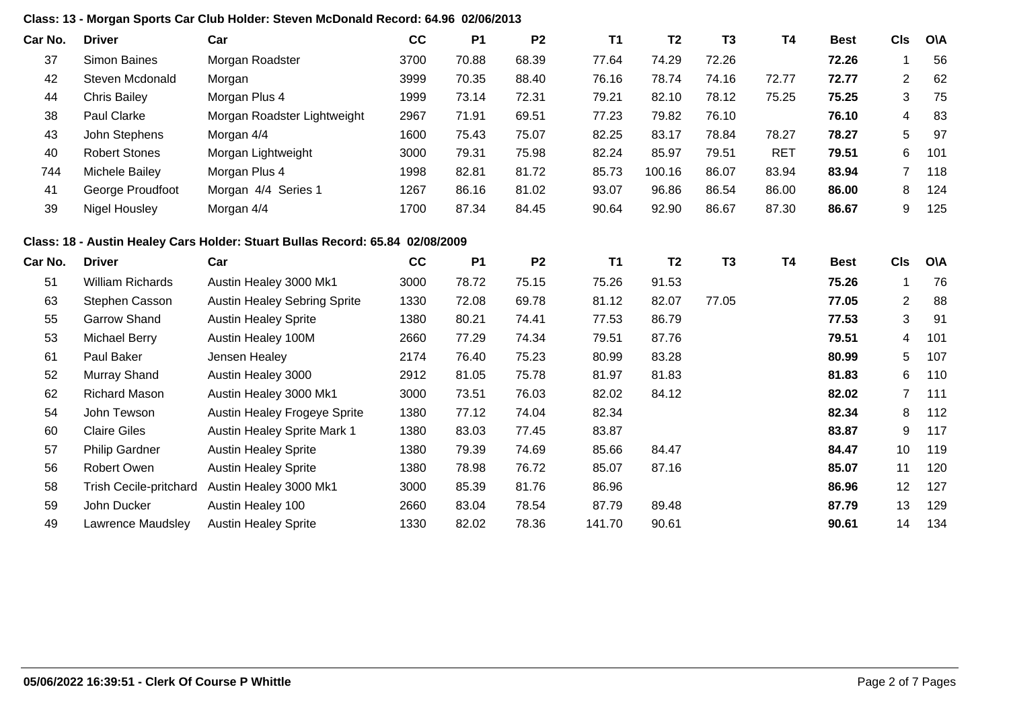## **Class: 13 - Morgan Sports Car Club Holder: Steven McDonald Record: 64.96 02/06/2013**

| Car No. | <b>Driver</b>                 | Car                                                                           | cc   | <b>P1</b> | P <sub>2</sub> | <b>T1</b> | T <sub>2</sub> | <b>T3</b> | <b>T4</b>  | <b>Best</b> | <b>CIs</b>       | <b>O\A</b> |
|---------|-------------------------------|-------------------------------------------------------------------------------|------|-----------|----------------|-----------|----------------|-----------|------------|-------------|------------------|------------|
| 37      | <b>Simon Baines</b>           | Morgan Roadster                                                               | 3700 | 70.88     | 68.39          | 77.64     | 74.29          | 72.26     |            | 72.26       | 1                | 56         |
| 42      | Steven Mcdonald               | Morgan                                                                        | 3999 | 70.35     | 88.40          | 76.16     | 78.74          | 74.16     | 72.77      | 72.77       | $\overline{c}$   | 62         |
| 44      | <b>Chris Bailey</b>           | Morgan Plus 4                                                                 | 1999 | 73.14     | 72.31          | 79.21     | 82.10          | 78.12     | 75.25      | 75.25       | 3                | 75         |
| 38      | Paul Clarke                   | Morgan Roadster Lightweight                                                   | 2967 | 71.91     | 69.51          | 77.23     | 79.82          | 76.10     |            | 76.10       | 4                | 83         |
| 43      | John Stephens                 | Morgan 4/4                                                                    | 1600 | 75.43     | 75.07          | 82.25     | 83.17          | 78.84     | 78.27      | 78.27       | 5                | 97         |
| 40      | <b>Robert Stones</b>          | Morgan Lightweight                                                            | 3000 | 79.31     | 75.98          | 82.24     | 85.97          | 79.51     | <b>RET</b> | 79.51       | 6                | 101        |
| 744     | Michele Bailey                | Morgan Plus 4                                                                 | 1998 | 82.81     | 81.72          | 85.73     | 100.16         | 86.07     | 83.94      | 83.94       | 7                | 118        |
| 41      | George Proudfoot              | Morgan 4/4 Series 1                                                           | 1267 | 86.16     | 81.02          | 93.07     | 96.86          | 86.54     | 86.00      | 86.00       | 8                | 124        |
| 39      | <b>Nigel Housley</b>          | Morgan 4/4                                                                    | 1700 | 87.34     | 84.45          | 90.64     | 92.90          | 86.67     | 87.30      | 86.67       | 9                | 125        |
|         |                               | Class: 18 - Austin Healey Cars Holder: Stuart Bullas Record: 65.84 02/08/2009 |      |           |                |           |                |           |            |             |                  |            |
| Car No. | <b>Driver</b>                 | Car                                                                           | cc   | <b>P1</b> | P <sub>2</sub> | <b>T1</b> | T <sub>2</sub> | <b>T3</b> | <b>T4</b>  | <b>Best</b> | <b>CIs</b>       | <b>O\A</b> |
| 51      | <b>William Richards</b>       | Austin Healey 3000 Mk1                                                        | 3000 | 78.72     | 75.15          | 75.26     | 91.53          |           |            | 75.26       | $\mathbf{1}$     | 76         |
| 63      | Stephen Casson                | <b>Austin Healey Sebring Sprite</b>                                           | 1330 | 72.08     | 69.78          | 81.12     | 82.07          | 77.05     |            | 77.05       | $\overline{2}$   | 88         |
| 55      | <b>Garrow Shand</b>           | <b>Austin Healey Sprite</b>                                                   | 1380 | 80.21     | 74.41          | 77.53     | 86.79          |           |            | 77.53       | 3                | 91         |
| 53      | <b>Michael Berry</b>          | Austin Healey 100M                                                            | 2660 | 77.29     | 74.34          | 79.51     | 87.76          |           |            | 79.51       | 4                | 101        |
| 61      | Paul Baker                    | Jensen Healey                                                                 | 2174 | 76.40     | 75.23          | 80.99     | 83.28          |           |            | 80.99       | 5                | 107        |
| 52      | Murray Shand                  | Austin Healey 3000                                                            | 2912 | 81.05     | 75.78          | 81.97     | 81.83          |           |            | 81.83       | 6                | 110        |
| 62      | <b>Richard Mason</b>          | Austin Healey 3000 Mk1                                                        | 3000 | 73.51     | 76.03          | 82.02     | 84.12          |           |            | 82.02       | 7                | 111        |
| 54      | John Tewson                   | Austin Healey Frogeye Sprite                                                  | 1380 | 77.12     | 74.04          | 82.34     |                |           |            | 82.34       | 8                | 112        |
| 60      | <b>Claire Giles</b>           | Austin Healey Sprite Mark 1                                                   | 1380 | 83.03     | 77.45          | 83.87     |                |           |            | 83.87       | $\boldsymbol{9}$ | 117        |
| 57      | <b>Philip Gardner</b>         | <b>Austin Healey Sprite</b>                                                   | 1380 | 79.39     | 74.69          | 85.66     | 84.47          |           |            | 84.47       | 10               | 119        |
| 56      | Robert Owen                   | <b>Austin Healey Sprite</b>                                                   | 1380 | 78.98     | 76.72          | 85.07     | 87.16          |           |            | 85.07       | 11               | 120        |
| 58      | <b>Trish Cecile-pritchard</b> | Austin Healey 3000 Mk1                                                        | 3000 | 85.39     | 81.76          | 86.96     |                |           |            | 86.96       | 12               | 127        |
| 59      | John Ducker                   | Austin Healey 100                                                             | 2660 | 83.04     | 78.54          | 87.79     | 89.48          |           |            | 87.79       | 13               | 129        |
| 49      | Lawrence Maudsley             | <b>Austin Healey Sprite</b>                                                   | 1330 | 82.02     | 78.36          | 141.70    | 90.61          |           |            | 90.61       | 14               | 134        |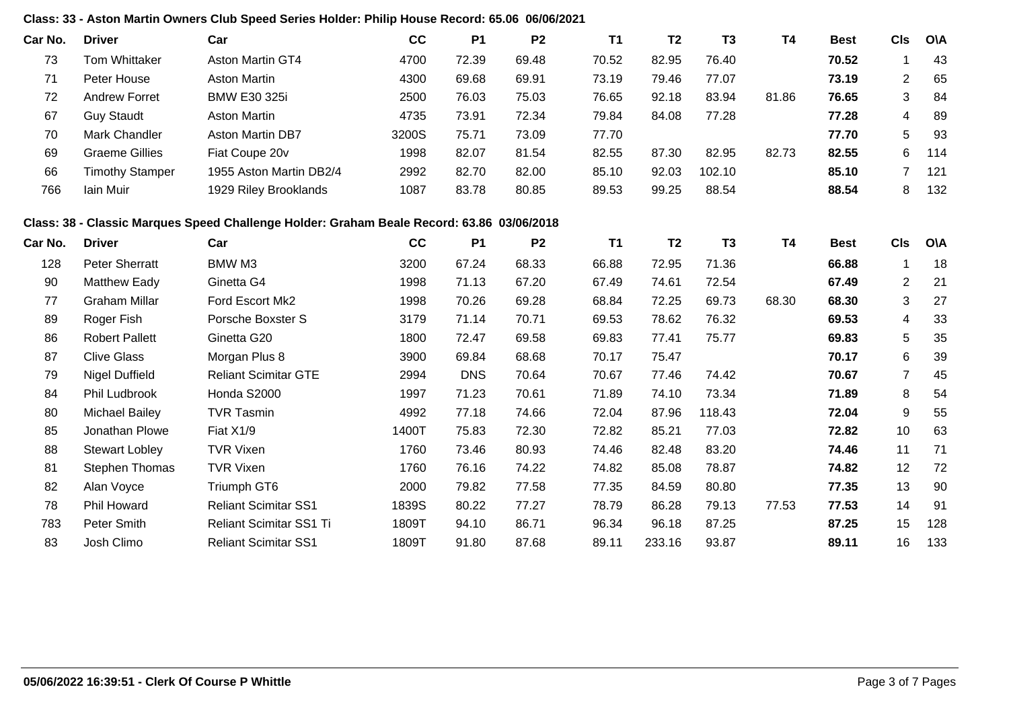### **Class: 33 - Aston Martin Owners Club Speed Series Holder: Philip House Record: 65.06 06/06/2021**

| Car No. | <b>Driver</b>          | Car                                                                                       | cc    | <b>P1</b>  | P <sub>2</sub> | <b>T1</b> | T <sub>2</sub> | T <sub>3</sub> | <b>T4</b> | <b>Best</b> | <b>CIs</b>     | O\A        |
|---------|------------------------|-------------------------------------------------------------------------------------------|-------|------------|----------------|-----------|----------------|----------------|-----------|-------------|----------------|------------|
| 73      | <b>Tom Whittaker</b>   | Aston Martin GT4                                                                          | 4700  | 72.39      | 69.48          | 70.52     | 82.95          | 76.40          |           | 70.52       | $\mathbf 1$    | 43         |
| 71      | Peter House            | <b>Aston Martin</b>                                                                       | 4300  | 69.68      | 69.91          | 73.19     | 79.46          | 77.07          |           | 73.19       | $\overline{2}$ | 65         |
| 72      | <b>Andrew Forret</b>   | <b>BMW E30 325i</b>                                                                       | 2500  | 76.03      | 75.03          | 76.65     | 92.18          | 83.94          | 81.86     | 76.65       | 3              | 84         |
| 67      | <b>Guy Staudt</b>      | <b>Aston Martin</b>                                                                       | 4735  | 73.91      | 72.34          | 79.84     | 84.08          | 77.28          |           | 77.28       | 4              | 89         |
| 70      | Mark Chandler          | Aston Martin DB7                                                                          | 3200S | 75.71      | 73.09          | 77.70     |                |                |           | 77.70       | 5              | 93         |
| 69      | <b>Graeme Gillies</b>  | Fiat Coupe 20v                                                                            | 1998  | 82.07      | 81.54          | 82.55     | 87.30          | 82.95          | 82.73     | 82.55       | 6              | 114        |
| 66      | <b>Timothy Stamper</b> | 1955 Aston Martin DB2/4                                                                   | 2992  | 82.70      | 82.00          | 85.10     | 92.03          | 102.10         |           | 85.10       | $\overline{7}$ | 121        |
| 766     | Iain Muir              | 1929 Riley Brooklands                                                                     | 1087  | 83.78      | 80.85          | 89.53     | 99.25          | 88.54          |           | 88.54       | 8              | 132        |
|         |                        | Class: 38 - Classic Marques Speed Challenge Holder: Graham Beale Record: 63.86 03/06/2018 |       |            |                |           |                |                |           |             |                |            |
| Car No. | <b>Driver</b>          | Car                                                                                       | cc    | <b>P1</b>  | P <sub>2</sub> | <b>T1</b> | T <sub>2</sub> | T <sub>3</sub> | <b>T4</b> | <b>Best</b> | <b>CIs</b>     | <b>OVA</b> |
| 128     | <b>Peter Sherratt</b>  | BMW M3                                                                                    | 3200  | 67.24      | 68.33          | 66.88     | 72.95          | 71.36          |           | 66.88       | 1              | 18         |
| 90      | <b>Matthew Eady</b>    | Ginetta G4                                                                                | 1998  | 71.13      | 67.20          | 67.49     | 74.61          | 72.54          |           | 67.49       | $\overline{2}$ | 21         |
| 77      | <b>Graham Millar</b>   | Ford Escort Mk2                                                                           | 1998  | 70.26      | 69.28          | 68.84     | 72.25          | 69.73          | 68.30     | 68.30       | 3              | 27         |
| 89      | Roger Fish             | Porsche Boxster S                                                                         | 3179  | 71.14      | 70.71          | 69.53     | 78.62          | 76.32          |           | 69.53       | 4              | 33         |
| 86      | <b>Robert Pallett</b>  | Ginetta G20                                                                               | 1800  | 72.47      | 69.58          | 69.83     | 77.41          | 75.77          |           | 69.83       | 5              | 35         |
| 87      | <b>Clive Glass</b>     | Morgan Plus 8                                                                             | 3900  | 69.84      | 68.68          | 70.17     | 75.47          |                |           | 70.17       | 6              | 39         |
| 79      | <b>Nigel Duffield</b>  | <b>Reliant Scimitar GTE</b>                                                               | 2994  | <b>DNS</b> | 70.64          | 70.67     | 77.46          | 74.42          |           | 70.67       | $\overline{7}$ | 45         |
| 84      | Phil Ludbrook          | Honda S2000                                                                               | 1997  | 71.23      | 70.61          | 71.89     | 74.10          | 73.34          |           | 71.89       | 8              | 54         |
| 80      | <b>Michael Bailey</b>  | <b>TVR Tasmin</b>                                                                         | 4992  | 77.18      | 74.66          | 72.04     | 87.96          | 118.43         |           | 72.04       | 9              | 55         |
| 85      | Jonathan Plowe         | Fiat X1/9                                                                                 | 1400T | 75.83      | 72.30          | 72.82     | 85.21          | 77.03          |           | 72.82       | 10             | 63         |
| 88      | <b>Stewart Lobley</b>  | <b>TVR Vixen</b>                                                                          | 1760  | 73.46      | 80.93          | 74.46     | 82.48          | 83.20          |           | 74.46       | 11             | 71         |
| 81      | Stephen Thomas         | <b>TVR Vixen</b>                                                                          | 1760  | 76.16      | 74.22          | 74.82     | 85.08          | 78.87          |           | 74.82       | 12             | 72         |
| 82      | Alan Voyce             | Triumph GT6                                                                               | 2000  | 79.82      | 77.58          | 77.35     | 84.59          | 80.80          |           | 77.35       | 13             | 90         |
| 78      | <b>Phil Howard</b>     | <b>Reliant Scimitar SS1</b>                                                               | 1839S | 80.22      | 77.27          | 78.79     | 86.28          | 79.13          | 77.53     | 77.53       | 14             | 91         |
| 783     | Peter Smith            | Reliant Scimitar SS1 Ti                                                                   | 1809T | 94.10      | 86.71          | 96.34     | 96.18          | 87.25          |           | 87.25       | 15             | 128        |
| 83      | Josh Climo             | <b>Reliant Scimitar SS1</b>                                                               | 1809T | 91.80      | 87.68          | 89.11     | 233.16         | 93.87          |           | 89.11       | 16             | 133        |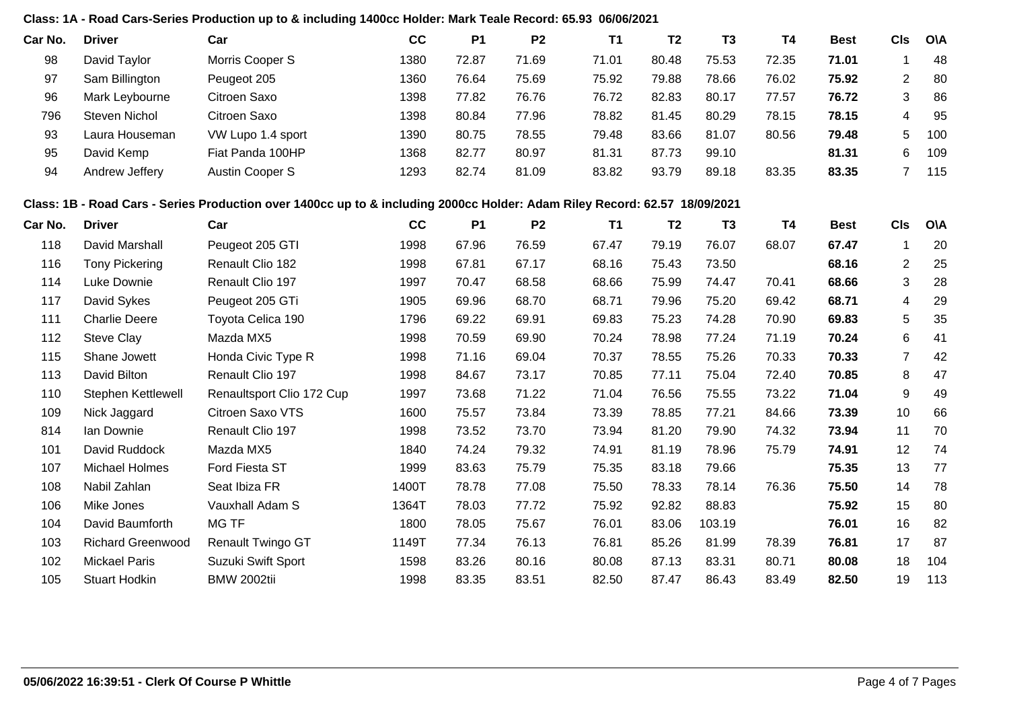#### **Class: 1A - Road Cars-Series Production up to & including 1400cc Holder: Mark Teale Record: 65.93 06/06/2021**

| Car No. | <b>Driver</b>  | Car               | cc   | P <sub>1</sub> | P <sub>2</sub> | Τ1    | T <sub>2</sub> | T <sub>3</sub> | T4    | <b>Best</b> | CIs | <b>OVA</b> |
|---------|----------------|-------------------|------|----------------|----------------|-------|----------------|----------------|-------|-------------|-----|------------|
| 98      | David Taylor   | Morris Cooper S   | 1380 | 72.87          | 71.69          | 71.01 | 80.48          | 75.53          | 72.35 | 71.01       |     | 48         |
| 97      | Sam Billington | Peugeot 205       | 1360 | 76.64          | 75.69          | 75.92 | 79.88          | 78.66          | 76.02 | 75.92       | ົ   | 80         |
| 96      | Mark Leybourne | Citroen Saxo      | 1398 | 77.82          | 76.76          | 76.72 | 82.83          | 80.17          | 77.57 | 76.72       | 3   | 86         |
| 796     | Steven Nichol  | Citroen Saxo      | 1398 | 80.84          | 77.96          | 78.82 | 81.45          | 80.29          | 78.15 | 78.15       |     | 95         |
| 93      | Laura Houseman | VW Lupo 1.4 sport | 1390 | 80.75          | 78.55          | 79.48 | 83.66          | 81.07          | 80.56 | 79.48       | 5   | 100        |
| 95      | David Kemp     | Fiat Panda 100HP  | 1368 | 82.77          | 80.97          | 81.31 | 87.73          | 99.10          |       | 81.31       | 6   | 109        |
| 94      | Andrew Jeffery | Austin Cooper S   | 1293 | 82.74          | 81.09          | 83.82 | 93.79          | 89.18          | 83.35 | 83.35       |     | 115        |

#### **Class: 1B - Road Cars - Series Production over 1400cc up to & including 2000cc Holder: Adam Riley Record: 62.57 18/09/2021**

| Car No. | <b>Driver</b>            | Car                       | cc    | <b>P1</b> | P <sub>2</sub> | <b>T1</b> | T <sub>2</sub> | T <sub>3</sub> | T4    | <b>Best</b> | <b>CIs</b>     | O\A |
|---------|--------------------------|---------------------------|-------|-----------|----------------|-----------|----------------|----------------|-------|-------------|----------------|-----|
| 118     | David Marshall           | Peugeot 205 GTI           | 1998  | 67.96     | 76.59          | 67.47     | 79.19          | 76.07          | 68.07 | 67.47       |                | 20  |
| 116     | <b>Tony Pickering</b>    | Renault Clio 182          | 1998  | 67.81     | 67.17          | 68.16     | 75.43          | 73.50          |       | 68.16       | $\overline{2}$ | 25  |
| 114     | Luke Downie              | Renault Clio 197          | 1997  | 70.47     | 68.58          | 68.66     | 75.99          | 74.47          | 70.41 | 68.66       | 3              | 28  |
| 117     | David Sykes              | Peugeot 205 GTi           | 1905  | 69.96     | 68.70          | 68.71     | 79.96          | 75.20          | 69.42 | 68.71       | 4              | 29  |
| 111     | <b>Charlie Deere</b>     | Toyota Celica 190         | 1796  | 69.22     | 69.91          | 69.83     | 75.23          | 74.28          | 70.90 | 69.83       | 5              | 35  |
| 112     | <b>Steve Clay</b>        | Mazda MX5                 | 1998  | 70.59     | 69.90          | 70.24     | 78.98          | 77.24          | 71.19 | 70.24       | 6              | 41  |
| 115     | Shane Jowett             | Honda Civic Type R        | 1998  | 71.16     | 69.04          | 70.37     | 78.55          | 75.26          | 70.33 | 70.33       | 7              | 42  |
| 113     | David Bilton             | Renault Clio 197          | 1998  | 84.67     | 73.17          | 70.85     | 77.11          | 75.04          | 72.40 | 70.85       | 8              | 47  |
| 110     | Stephen Kettlewell       | Renaultsport Clio 172 Cup | 1997  | 73.68     | 71.22          | 71.04     | 76.56          | 75.55          | 73.22 | 71.04       | 9              | 49  |
| 109     | Nick Jaggard             | Citroen Saxo VTS          | 1600  | 75.57     | 73.84          | 73.39     | 78.85          | 77.21          | 84.66 | 73.39       | 10             | 66  |
| 814     | Ian Downie               | Renault Clio 197          | 1998  | 73.52     | 73.70          | 73.94     | 81.20          | 79.90          | 74.32 | 73.94       | 11             | 70  |
| 101     | David Ruddock            | Mazda MX5                 | 1840  | 74.24     | 79.32          | 74.91     | 81.19          | 78.96          | 75.79 | 74.91       | 12             | 74  |
| 107     | Michael Holmes           | Ford Fiesta ST            | 1999  | 83.63     | 75.79          | 75.35     | 83.18          | 79.66          |       | 75.35       | 13             | 77  |
| 108     | Nabil Zahlan             | Seat Ibiza FR             | 1400T | 78.78     | 77.08          | 75.50     | 78.33          | 78.14          | 76.36 | 75.50       | 14             | 78  |
| 106     | Mike Jones               | Vauxhall Adam S           | 1364T | 78.03     | 77.72          | 75.92     | 92.82          | 88.83          |       | 75.92       | 15             | 80  |
| 104     | David Baumforth          | MG TF                     | 1800  | 78.05     | 75.67          | 76.01     | 83.06          | 103.19         |       | 76.01       | 16             | 82  |
| 103     | <b>Richard Greenwood</b> | <b>Renault Twingo GT</b>  | 1149T | 77.34     | 76.13          | 76.81     | 85.26          | 81.99          | 78.39 | 76.81       | 17             | 87  |
| 102     | Mickael Paris            | Suzuki Swift Sport        | 1598  | 83.26     | 80.16          | 80.08     | 87.13          | 83.31          | 80.71 | 80.08       | 18             | 104 |
| 105     | <b>Stuart Hodkin</b>     | <b>BMW 2002tii</b>        | 1998  | 83.35     | 83.51          | 82.50     | 87.47          | 86.43          | 83.49 | 82.50       | 19             | 113 |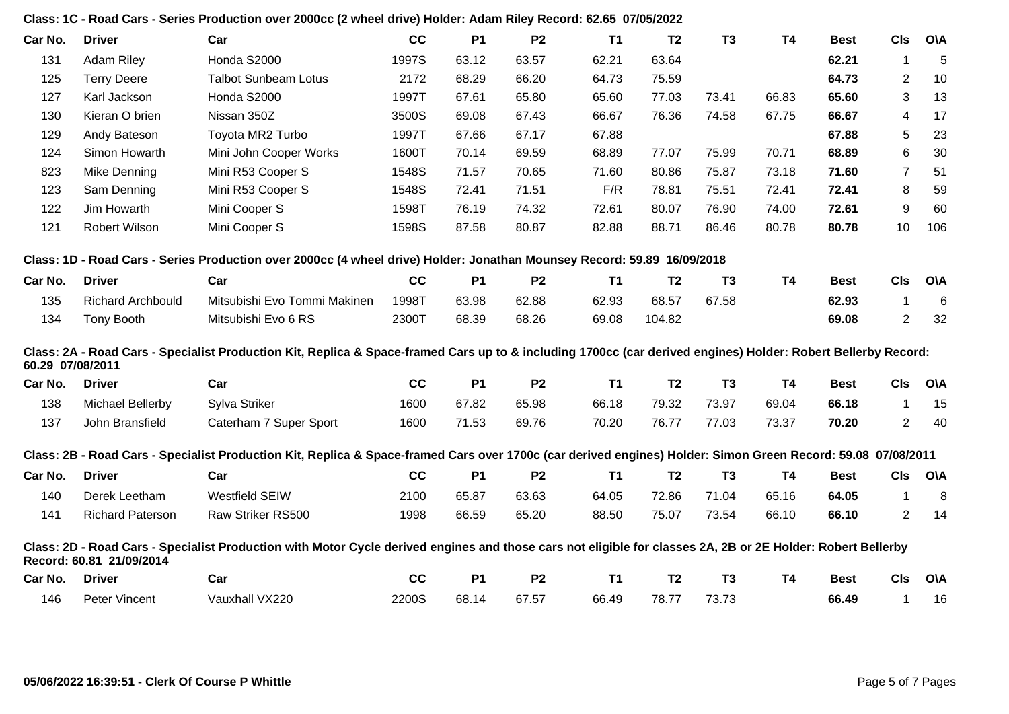|                  |                          | Class: 1C - Road Cars - Series Production over 2000cc (2 wheel drive) Holder: Adam Riley Record: 62.65 07/05/2022                                             |       |           |                |           |                |                |           |             |                |            |
|------------------|--------------------------|---------------------------------------------------------------------------------------------------------------------------------------------------------------|-------|-----------|----------------|-----------|----------------|----------------|-----------|-------------|----------------|------------|
| Car No.          | <b>Driver</b>            | Car                                                                                                                                                           | cc    | <b>P1</b> | P <sub>2</sub> | <b>T1</b> | T <sub>2</sub> | T <sub>3</sub> | <b>T4</b> | <b>Best</b> | <b>CIs</b>     | <b>OVA</b> |
| 131              | <b>Adam Riley</b>        | Honda S2000                                                                                                                                                   | 1997S | 63.12     | 63.57          | 62.21     | 63.64          |                |           | 62.21       | -1             | 5          |
| 125              | <b>Terry Deere</b>       | <b>Talbot Sunbeam Lotus</b>                                                                                                                                   | 2172  | 68.29     | 66.20          | 64.73     | 75.59          |                |           | 64.73       | $\overline{2}$ | 10         |
| 127              | Karl Jackson             | Honda S2000                                                                                                                                                   | 1997T | 67.61     | 65.80          | 65.60     | 77.03          | 73.41          | 66.83     | 65.60       | 3              | 13         |
| 130              | Kieran O brien           | Nissan 350Z                                                                                                                                                   | 3500S | 69.08     | 67.43          | 66.67     | 76.36          | 74.58          | 67.75     | 66.67       | 4              | 17         |
| 129              | Andy Bateson             | Toyota MR2 Turbo                                                                                                                                              | 1997T | 67.66     | 67.17          | 67.88     |                |                |           | 67.88       | 5              | 23         |
| 124              | Simon Howarth            | Mini John Cooper Works                                                                                                                                        | 1600T | 70.14     | 69.59          | 68.89     | 77.07          | 75.99          | 70.71     | 68.89       | 6              | 30         |
| 823              | Mike Denning             | Mini R53 Cooper S                                                                                                                                             | 1548S | 71.57     | 70.65          | 71.60     | 80.86          | 75.87          | 73.18     | 71.60       | $\overline{7}$ | 51         |
| 123              | Sam Denning              | Mini R53 Cooper S                                                                                                                                             | 1548S | 72.41     | 71.51          | F/R       | 78.81          | 75.51          | 72.41     | 72.41       | 8              | 59         |
| 122              | Jim Howarth              | Mini Cooper S                                                                                                                                                 | 1598T | 76.19     | 74.32          | 72.61     | 80.07          | 76.90          | 74.00     | 72.61       | 9              | 60         |
| 121              | Robert Wilson            | Mini Cooper S                                                                                                                                                 | 1598S | 87.58     | 80.87          | 82.88     | 88.71          | 86.46          | 80.78     | 80.78       | 10             | 106        |
|                  |                          | Class: 1D - Road Cars - Series Production over 2000cc (4 wheel drive) Holder: Jonathan Mounsey Record: 59.89 16/09/2018                                       |       |           |                |           |                |                |           |             |                |            |
| Car No.          | <b>Driver</b>            | Car                                                                                                                                                           | cc    | <b>P1</b> | <b>P2</b>      | <b>T1</b> | <b>T2</b>      | <b>T3</b>      | <b>T4</b> | <b>Best</b> | <b>CIs</b>     | <b>O\A</b> |
| 135              | <b>Richard Archbould</b> | Mitsubishi Evo Tommi Makinen                                                                                                                                  | 1998T | 63.98     | 62.88          | 62.93     | 68.57          | 67.58          |           | 62.93       | -1             | 6          |
| 134              | Tony Booth               | Mitsubishi Evo 6 RS                                                                                                                                           | 2300T | 68.39     | 68.26          | 69.08     | 104.82         |                |           | 69.08       | $\overline{2}$ | 32         |
| 60.29 07/08/2011 |                          | Class: 2A - Road Cars - Specialist Production Kit, Replica & Space-framed Cars up to & including 1700cc (car derived engines) Holder: Robert Bellerby Record: |       |           |                |           |                |                |           |             |                |            |
| Car No.          | <b>Driver</b>            | Car                                                                                                                                                           | cc    | <b>P1</b> | P <sub>2</sub> | <b>T1</b> | T <sub>2</sub> | T <sub>3</sub> | <b>T4</b> | <b>Best</b> | <b>CIs</b>     | <b>O\A</b> |
| 138              | Michael Bellerby         | Sylva Striker                                                                                                                                                 | 1600  | 67.82     | 65.98          | 66.18     | 79.32          | 73.97          | 69.04     | 66.18       | $\mathbf 1$    | 15         |
| 137              | John Bransfield          | Caterham 7 Super Sport                                                                                                                                        | 1600  | 71.53     | 69.76          | 70.20     | 76.77          | 77.03          | 73.37     | 70.20       | $\overline{2}$ | 40         |
|                  |                          | Class: 2B - Road Cars - Specialist Production Kit, Replica & Space-framed Cars over 1700c (car derived engines) Holder: Simon Green Record: 59.08 07/08/2011  |       |           |                |           |                |                |           |             |                |            |
| Car No.          | <b>Driver</b>            | Car                                                                                                                                                           | cc    | <b>P1</b> | P <sub>2</sub> | <b>T1</b> | T <sub>2</sub> | T <sub>3</sub> | <b>T4</b> | <b>Best</b> | <b>CIs</b>     | <b>O\A</b> |
| 140              | Derek Leetham            | <b>Westfield SEIW</b>                                                                                                                                         | 2100  | 65.87     | 63.63          | 64.05     | 72.86          | 71.04          | 65.16     | 64.05       | $\overline{1}$ | 8          |
| 141              | <b>Richard Paterson</b>  | Raw Striker RS500                                                                                                                                             | 1998  | 66.59     | 65.20          | 88.50     | 75.07          | 73.54          | 66.10     | 66.10       | $\overline{2}$ | 14         |
|                  | Record: 60.81 21/09/2014 | Class: 2D - Road Cars - Specialist Production with Motor Cycle derived engines and those cars not eligible for classes 2A, 2B or 2E Holder: Robert Bellerby   |       |           |                |           |                |                |           |             |                |            |
| Car No.          | <b>Driver</b>            | Car                                                                                                                                                           | cc    | <b>P1</b> | P <sub>2</sub> | <b>T1</b> | T <sub>2</sub> | T3             | <b>T4</b> | <b>Best</b> | <b>CIs</b>     | <b>O\A</b> |
| 146              | Peter Vincent            | Vauxhall VX220                                                                                                                                                | 2200S | 68.14     | 67.57          | 66.49     | 78.77          | 73.73          |           | 66.49       | $\mathbf{1}$   | 16         |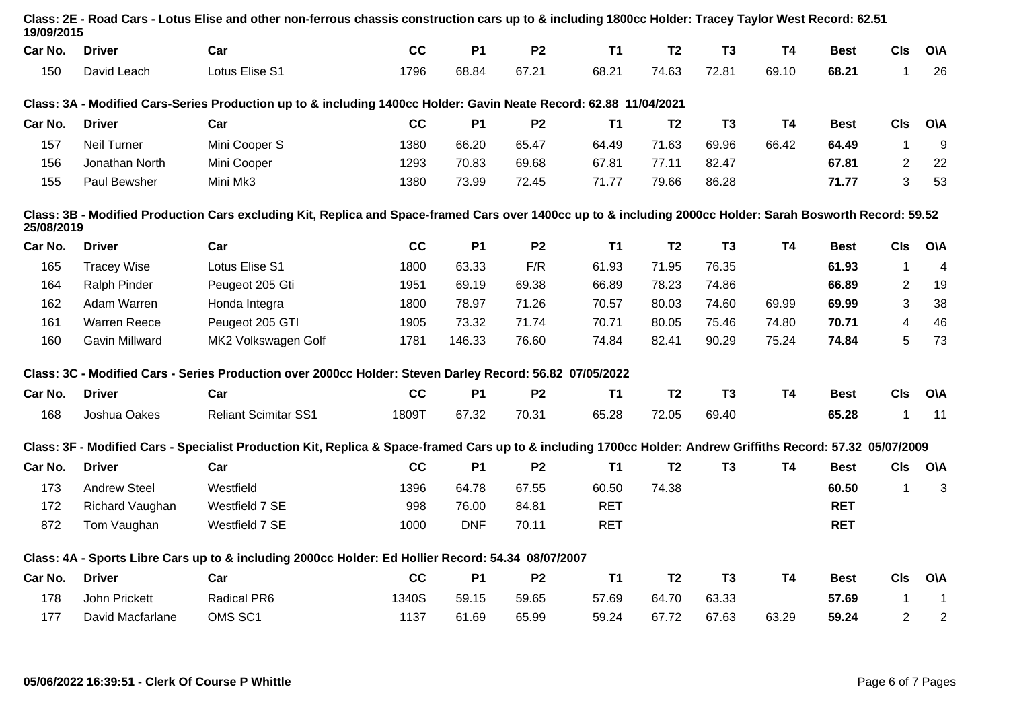| <b>Driver</b>       | Car                         | cc    | <b>P1</b>  | P <sub>2</sub> | <b>T1</b>  | T <sub>2</sub>                                                                                                                                                                                                 | T <sub>3</sub>                                                                                                    | <b>T4</b> | <b>Best</b> | <b>CIs</b>     | <b>O\A</b>                                                                                                                                                                                                                                                                                                                                                                                                                                                                            |
|---------------------|-----------------------------|-------|------------|----------------|------------|----------------------------------------------------------------------------------------------------------------------------------------------------------------------------------------------------------------|-------------------------------------------------------------------------------------------------------------------|-----------|-------------|----------------|---------------------------------------------------------------------------------------------------------------------------------------------------------------------------------------------------------------------------------------------------------------------------------------------------------------------------------------------------------------------------------------------------------------------------------------------------------------------------------------|
| David Leach         | Lotus Elise S1              | 1796  | 68.84      | 67.21          | 68.21      | 74.63                                                                                                                                                                                                          | 72.81                                                                                                             | 69.10     | 68.21       | 1              | 26                                                                                                                                                                                                                                                                                                                                                                                                                                                                                    |
|                     |                             |       |            |                |            |                                                                                                                                                                                                                |                                                                                                                   |           |             |                |                                                                                                                                                                                                                                                                                                                                                                                                                                                                                       |
| <b>Driver</b>       | Car                         | cc    | <b>P1</b>  | P <sub>2</sub> | <b>T1</b>  | T <sub>2</sub>                                                                                                                                                                                                 | T <sub>3</sub>                                                                                                    | <b>T4</b> | <b>Best</b> | <b>CIs</b>     | <b>O\A</b>                                                                                                                                                                                                                                                                                                                                                                                                                                                                            |
| <b>Neil Turner</b>  | Mini Cooper S               | 1380  | 66.20      | 65.47          | 64.49      | 71.63                                                                                                                                                                                                          | 69.96                                                                                                             | 66.42     | 64.49       | $\mathbf{1}$   | 9                                                                                                                                                                                                                                                                                                                                                                                                                                                                                     |
| Jonathan North      | Mini Cooper                 | 1293  | 70.83      | 69.68          | 67.81      | 77.11                                                                                                                                                                                                          | 82.47                                                                                                             |           | 67.81       | $\overline{2}$ | 22                                                                                                                                                                                                                                                                                                                                                                                                                                                                                    |
| Paul Bewsher        | Mini Mk3                    | 1380  | 73.99      | 72.45          | 71.77      | 79.66                                                                                                                                                                                                          | 86.28                                                                                                             |           | 71.77       | 3              | 53                                                                                                                                                                                                                                                                                                                                                                                                                                                                                    |
|                     |                             |       |            |                |            |                                                                                                                                                                                                                |                                                                                                                   |           |             |                |                                                                                                                                                                                                                                                                                                                                                                                                                                                                                       |
| <b>Driver</b>       | Car                         | cc    | <b>P1</b>  | P <sub>2</sub> | <b>T1</b>  | T <sub>2</sub>                                                                                                                                                                                                 | T <sub>3</sub>                                                                                                    | <b>T4</b> | Best        | <b>CIs</b>     | <b>O\A</b>                                                                                                                                                                                                                                                                                                                                                                                                                                                                            |
| <b>Tracey Wise</b>  | Lotus Elise S1              | 1800  | 63.33      | F/R            | 61.93      | 71.95                                                                                                                                                                                                          | 76.35                                                                                                             |           | 61.93       | 1              | $\overline{4}$                                                                                                                                                                                                                                                                                                                                                                                                                                                                        |
| Ralph Pinder        | Peugeot 205 Gti             | 1951  | 69.19      | 69.38          | 66.89      | 78.23                                                                                                                                                                                                          | 74.86                                                                                                             |           | 66.89       | $\overline{2}$ | 19                                                                                                                                                                                                                                                                                                                                                                                                                                                                                    |
| Adam Warren         | Honda Integra               | 1800  | 78.97      | 71.26          | 70.57      | 80.03                                                                                                                                                                                                          | 74.60                                                                                                             | 69.99     | 69.99       | 3              | 38                                                                                                                                                                                                                                                                                                                                                                                                                                                                                    |
| <b>Warren Reece</b> | Peugeot 205 GTI             | 1905  | 73.32      | 71.74          | 70.71      | 80.05                                                                                                                                                                                                          | 75.46                                                                                                             | 74.80     | 70.71       | 4              | 46                                                                                                                                                                                                                                                                                                                                                                                                                                                                                    |
| Gavin Millward      | MK2 Volkswagen Golf         | 1781  | 146.33     | 76.60          | 74.84      | 82.41                                                                                                                                                                                                          | 90.29                                                                                                             | 75.24     | 74.84       | 5              | 73                                                                                                                                                                                                                                                                                                                                                                                                                                                                                    |
|                     |                             |       |            |                |            |                                                                                                                                                                                                                |                                                                                                                   |           |             |                |                                                                                                                                                                                                                                                                                                                                                                                                                                                                                       |
| <b>Driver</b>       | Car                         | cc    | <b>P1</b>  | P <sub>2</sub> | <b>T1</b>  | T <sub>2</sub>                                                                                                                                                                                                 | T <sub>3</sub>                                                                                                    | <b>T4</b> | Best        | <b>CIs</b>     | <b>O\A</b>                                                                                                                                                                                                                                                                                                                                                                                                                                                                            |
| Joshua Oakes        | <b>Reliant Scimitar SS1</b> | 1809T | 67.32      | 70.31          | 65.28      | 72.05                                                                                                                                                                                                          | 69.40                                                                                                             |           | 65.28       | 1              | 11                                                                                                                                                                                                                                                                                                                                                                                                                                                                                    |
|                     |                             |       |            |                |            |                                                                                                                                                                                                                |                                                                                                                   |           |             |                |                                                                                                                                                                                                                                                                                                                                                                                                                                                                                       |
| <b>Driver</b>       | Car                         | cc    | <b>P1</b>  | P <sub>2</sub> | <b>T1</b>  | T <sub>2</sub>                                                                                                                                                                                                 | T <sub>3</sub>                                                                                                    | <b>T4</b> | Best        | CIs            | <b>O\A</b>                                                                                                                                                                                                                                                                                                                                                                                                                                                                            |
| <b>Andrew Steel</b> | Westfield                   | 1396  | 64.78      | 67.55          | 60.50      | 74.38                                                                                                                                                                                                          |                                                                                                                   |           | 60.50       | 1              | $\mathbf{3}$                                                                                                                                                                                                                                                                                                                                                                                                                                                                          |
| Richard Vaughan     | Westfield 7 SE              | 998   | 76.00      | 84.81          | <b>RET</b> |                                                                                                                                                                                                                |                                                                                                                   |           | <b>RET</b>  |                |                                                                                                                                                                                                                                                                                                                                                                                                                                                                                       |
| Tom Vaughan         | Westfield 7 SE              | 1000  | <b>DNF</b> | 70.11          | <b>RET</b> |                                                                                                                                                                                                                |                                                                                                                   |           | <b>RET</b>  |                |                                                                                                                                                                                                                                                                                                                                                                                                                                                                                       |
|                     |                             |       |            |                |            |                                                                                                                                                                                                                |                                                                                                                   |           |             |                |                                                                                                                                                                                                                                                                                                                                                                                                                                                                                       |
| <b>Driver</b>       | Car                         | cc    | <b>P1</b>  | P <sub>2</sub> | T1         | T <sub>2</sub>                                                                                                                                                                                                 | T <sub>3</sub>                                                                                                    | <b>T4</b> | <b>Best</b> | <b>CIs</b>     | <b>O\A</b>                                                                                                                                                                                                                                                                                                                                                                                                                                                                            |
| John Prickett       | Radical PR6                 | 1340S | 59.15      | 59.65          | 57.69      | 64.70                                                                                                                                                                                                          | 63.33                                                                                                             |           | 57.69       | 1              | $\mathbf 1$                                                                                                                                                                                                                                                                                                                                                                                                                                                                           |
| David Macfarlane    | OMS SC1                     | 1137  | 61.69      | 65.99          | 59.24      | 67.72                                                                                                                                                                                                          | 67.63                                                                                                             | 63.29     | 59.24       | $\overline{2}$ | $\boldsymbol{2}$                                                                                                                                                                                                                                                                                                                                                                                                                                                                      |
|                     | 19/09/2015<br>25/08/2019    |       |            |                |            | Class: 3C - Modified Cars - Series Production over 2000cc Holder: Steven Darley Record: 56.82 07/05/2022<br>Class: 4A - Sports Libre Cars up to & including 2000cc Holder: Ed Hollier Record: 54.34 08/07/2007 | Class: 3A - Modified Cars-Series Production up to & including 1400cc Holder: Gavin Neate Record: 62.88 11/04/2021 |           |             |                | Class: 2E - Road Cars - Lotus Elise and other non-ferrous chassis construction cars up to & including 1800cc Holder: Tracey Taylor West Record: 62.51<br>Class: 3B - Modified Production Cars excluding Kit, Replica and Space-framed Cars over 1400cc up to & including 2000cc Holder: Sarah Bosworth Record: 59.52<br>Class: 3F - Modified Cars - Specialist Production Kit, Replica & Space-framed Cars up to & including 1700cc Holder: Andrew Griffiths Record: 57.32 05/07/2009 |